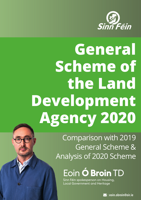

# **General Scheme of the Land Development Agency 2020**

Comparison with 2019 General Scheme & Analysis of 2020 Scheme

Eoin **Ó Broin** TD

Sinn Féin spokesperson on Housing, Local Government and Heritage

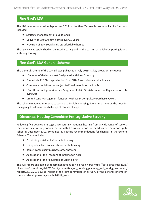#### **Fine Gael's LDA**

The LDA was announced in September 2018 by the then Taoiseach Leo Varadkar. Its functions included:

- ♦ Strategic management of public lands
- ♦ Delivery of 150,000 new homes over 20 years
- ♦ Provision of 10% social and 30% affordable homes

The agency was established on an interim basis pending the passing of legislation putting it on a statutory footing.

#### **Fine Gael's LDA General Scheme**

The General Scheme of the LDA Bill was published in July 2019. Its key provisions included:

- ♦ LDA as an off-balance sheet Designated Activities Company
- ♦ Funded via €1.25bn capitalisation from NTMA and private equity finance
- ♦ Commercial activities not subject to Freedom of Information Acts
- ♦ LDA officials not prescribed as Designated Public Officials under the Regulation of Lobbying Act
- ♦ Limited Land Management functions with weak Compulsory Purchase Powers

The scheme made no reference to social or affordable housing. It was also silent on the need for the agency to address the challenge of climate change.

#### **Oireachtas Housing Committee Pre-Legislative Scrutiny**

Following five detailed Pre-Legislative Scrutiny meetings hearing from a wide range of sectors, the Oireachtas Housing Committee submitted a critical report to the Minister. The report, published in December 2019, contained 47 specific recommendations for changes in the General Scheme. These included:

- ♦ Prioritising social and affordable housing
- ♦ Using public land exclusively for public housing
- ♦ Robust compulsory purchase order powers
- ♦ Application of the Freedom of Information Acts
- ♦ Application of the Regulation of Lobbying Act

The full report and table of recommendations can be read here: https://data.oireachtas.ie/ie/ oireachtas/committee/dail/32/joint committee on housing planning and local government/ reports/2019/2019-12-18 report-of-the-joint-committee-on-scrutiny-of-the-general-scheme-ofthe-land-development-agency-bill-2019\_en.pdf

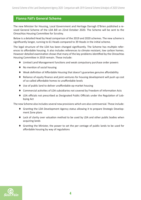#### **Fianna Fáil's General Scheme**

The new Minister for Housing, Local Government and Heritage Darragh O'Brien published a revised General Scheme of the LDA Bill on 22nd October 2020. The Scheme will be sent to the Oireachtas Housing Committee for Scrutiny.

Below is a detailed Head by Head comparison of the 2019 and 2020 schemes. The new scheme is significantly longer, running to 61 Heads compared to 39 Heads in the initial scheme.

The legal structure of the LDA has been changed significantly. The Scheme has multiple references to affordable housing. It also includes references to climate resistant, low carbon homes. However detailed examination shows that many of the key problems identified by the Oireachtas Housing Committee in 2019 remain. These include:

- ♦ Limited Land Management functions and weak compulsory purchase order powers
- ♦ No mention of social housing
- ♦ Weak definition of Affordable Housing that doesn't guarantee genuine affordability
- ♦ Reliance of equity finance and joint ventures for housing development will push up cost of so-called affordable homes to unaffordable levels
- ♦ Use of public land to deliver unaffordable op-market housing
- ♦ Commercial activities of LDA subsidiaries not covered by Freedom of Information Acts
- ♦ LDA officials not prescribed as Designated Public Officials under the Regulation of Lobbying Act

The new Scheme also includes several new provisions which are also controversial. These include:

- ♦ Granting the LDA Development Agency status allowing it to prepare Strategic Development Zone plans
- ♦ Lack of clarity over valuation method to be used by LDA and other public bodies when acquiring lands
- ♦ Granting the Minister, the power to set the per centage of public lands to be used for affordable housing by way of regulations

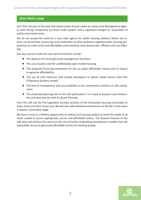#### **Sinn Féin's view**

Sinn Féin remains of the view that Government should create an active Land Management Agency with strong compulsory purchase order powers and a significant budget for acquisition of public and private lands.

We do not accept the need for a new state agency for public housing delivery. Rather we remain convinced that resourcing Local Authorities to drive ambitious regional public housing programmes to meet social and affordable need would be more democratic, efficient and cost effective.

Our key concerns with the new General Scheme include:

- ♦ The absence of meaningful land management functions
- ♦ The use of public land for unaffordable open market housing
- ♦ The proposed financing mechanism for the so called 'affordable' homes and its impact on genuine affordability
- ♦ The use of Joint Ventures with private developers to deliver mixed tenure sites (the O'Devaney Gardens model)
- ♦ The lack of transparency and accountability in the commercial activities of LDA subsidiaries
- ♦ The proposed planning role of the LDA particularly if it is used to by-pass Local Authorities and deal directly with An Board Pleanála

Sinn Féin will use the Pre-Legislative Scrutiny sessions of the Oireachtas Housing Committee to tease these and other issues out. We will also table detailed amendments to the Bill, if and when it reaches Committee stage.

We have a once in a lifetime opportunity to redirect out housing system to meet the needs of all those unable to access appropriate, secure and affordable homes. The General Scheme of the LDA does not achieve this and runs the risk of further embedding development models that will exacerbate access to genuinely affordable homes for working people.

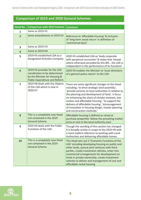#### **Comparison of 2019 and 2020 General Schemes**

| <b>Head No.</b> | Comparison with 2019 Scheme                                                                                                            | <b>Comment</b>                                                                                                                                                                                                                                                                                                                                                                                                                                            |
|-----------------|----------------------------------------------------------------------------------------------------------------------------------------|-----------------------------------------------------------------------------------------------------------------------------------------------------------------------------------------------------------------------------------------------------------------------------------------------------------------------------------------------------------------------------------------------------------------------------------------------------------|
| 1               | Same as 2019 H1                                                                                                                        |                                                                                                                                                                                                                                                                                                                                                                                                                                                           |
| $\overline{2}$  | Some amendments to 2019 H2                                                                                                             | Reference to 'affordable housing' & inclusion<br>of 'long term social return' in definition of<br>'commercial basis'                                                                                                                                                                                                                                                                                                                                      |
| 3               | Same as 2019 H3                                                                                                                        |                                                                                                                                                                                                                                                                                                                                                                                                                                                           |
| 4               | Same as 2019 H4                                                                                                                        |                                                                                                                                                                                                                                                                                                                                                                                                                                                           |
| 5               | 2019 H5 established LDA as a<br><b>Designated Activities Company</b>                                                                   | 2020 H5 established LDA as 'body corporate<br>with perpetual succession' & states that 'except<br>where otherwise provided by this Bill the LDA is<br>independent in the performance of its functions'                                                                                                                                                                                                                                                    |
| 6               | 2019 H5 provides for the LDA<br>constitution to be determined<br>by the Minister for Housing &<br><b>Public Expenditure and Reform</b> | 2020 H5 enables the Minister to 'issue directions<br>of a general policy nature' to the LDA                                                                                                                                                                                                                                                                                                                                                               |
| 7               | 2019 H8 dealt with the Objects<br>of the LDA which is now in<br>2020 H7                                                                | There are some significant changes to this Head<br>including; 'to drive strategic land assembly',<br>'provide services to local authorities in relation to<br>the planning and development of land', 'a focus<br>on enhancing the stock of climate resistant, low<br>carbon and affordable housing', 'to support the<br>delivery of affordable housing', 'encouragement<br>of innovation in housing design, master planning<br>and construction methods.' |
| 8               | This is a completely new Head<br>not contained in the 2019<br><b>General Scheme</b>                                                    | Affordable housing is defined as rental or<br>purchase properties 'below the prevailing market<br>price or rent in the local authority area'                                                                                                                                                                                                                                                                                                              |
| 9               | 2019 H9 deals with the Public<br>Functions of the LDA                                                                                  | Though the wording of this section has changed<br>it is broadly similar in scope to the 2019 H9 with<br>a more explicit reference to working with Local<br>Authorities and delivering affordable homes.                                                                                                                                                                                                                                                   |
| 10              | This is a completely new Head<br>not contained in the 2019<br><b>General Scheme</b>                                                    | This Head sets out 5 'Economic Functions of the<br>LDA' including developing housing on public and<br>other lands, pursue joint ventures with third<br>parties, create investment vehicles, enter into<br>commercial arrangements for development on<br>lands in private ownership, create investment<br>vehicles to deliver and management of cost and<br>affordable rental housing                                                                      |

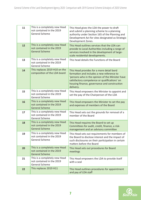| 11 | This is a completely new Head<br>not contained in the 2019<br><b>General Scheme</b> | This Head gives the LDA the power to draft<br>and submit a planning scheme to a planning<br>authority under Section 165 of the Planning and<br>Development Act for sites designated as Strategic<br>Development Zones.                                   |
|----|-------------------------------------------------------------------------------------|----------------------------------------------------------------------------------------------------------------------------------------------------------------------------------------------------------------------------------------------------------|
| 12 | This is a completely new Head<br>not contained in the 2019<br><b>General Scheme</b> | This Head outlines services that the LDA can<br>provide to Local Authorities including a range of<br>services involved in the development of large-<br>scale residential developments.                                                                   |
| 13 | This is a completely new Head<br>not contained in the 2019<br><b>General Scheme</b> | This head details the Functions of the Board                                                                                                                                                                                                             |
| 14 | This replaces 2019 H10 on the<br>composition of the LDA board                       | This Head provides for a more detail bord<br>formation and includes a new reference to<br>'persons who in the opinion of the Minister have<br>satisfactory competence or qualifications' on<br>housing finance, governance and construction<br>delivery. |
| 15 | This is a completely new Head<br>not contained in the 2019<br><b>General Scheme</b> | This Head empowers the Minister to appoint and<br>set the pay of the Chairperson of the LDA                                                                                                                                                              |
| 16 | This is a completely new Head<br>not contained in the 2019<br><b>General Scheme</b> | This Head empowers the Minister to set the pay<br>and expenses of members of the Board                                                                                                                                                                   |
| 17 | This is a completely new Head<br>not contained in the 2019<br>General Scheme        | This Head sets out the grounds for removal of a<br>member of the Board                                                                                                                                                                                   |
| 18 | This is a completely new Head<br>not contained in the 2019<br><b>General Scheme</b> | This Head requires the Board to set up<br>Committees for audit, credit, finance, a risk-<br>management and an advisory committee                                                                                                                         |
| 19 | This is a completely new Head<br>not contained in the 2019<br><b>General Scheme</b> | This Head sets out requirements for members of<br>the Board to disclose interest and the impact of<br>such disclosures on their participation in certain<br>matters before the Board                                                                     |
| 20 | This is a completely new Head<br>not contained in the 2019<br><b>General Scheme</b> | This Head sets out procedures for Board<br>meetings                                                                                                                                                                                                      |
| 21 | This is a completely new Head<br>not contained in the 2019<br><b>General Scheme</b> | This Head empowers the LDA to provide itself<br>with a seal                                                                                                                                                                                              |
| 22 | This replaces 2019 H11                                                              | This Head outlines procedures for appointment<br>and pay of LDA staff                                                                                                                                                                                    |

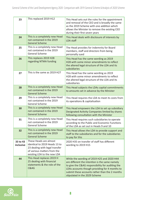| 23                    | This replaced 2019 H12                                                                                                                                  | This Head sets out the rules for the appointment<br>and removal of the CEO and is broadly the same<br>as the 2019 Scheme with one addition which<br>allows the Minister to remove the existing CEO<br>during their first seven years                                                  |
|-----------------------|---------------------------------------------------------------------------------------------------------------------------------------------------------|---------------------------------------------------------------------------------------------------------------------------------------------------------------------------------------------------------------------------------------------------------------------------------------|
| 24                    | This is a completely new Head<br>not contained in the 2019<br><b>General Scheme</b>                                                                     | This Head deals with disclosure of interests by<br>LDA staff                                                                                                                                                                                                                          |
| 25                    | This is a completely new Head<br>not contained in the 2019<br><b>General Scheme</b>                                                                     | The Head provides for indemnity for Board<br>members, staff and directors from being<br>personally sued                                                                                                                                                                               |
| 26                    | This replaces 2019 H28<br>regarding NTMA funding                                                                                                        | This Head has the same wording as 2019<br>H28 with some minor amendments to reflect<br>the altered legal structure of the LDA and its<br>subsidiaries                                                                                                                                 |
| 27                    | This is the same as 2019 H27                                                                                                                            | This Head has the same wording as 2019<br>H28 with some minor amendments to reflect<br>the altered legal structure of the LDA and its<br>subsidiaries                                                                                                                                 |
| 28                    | This is a completely new Head<br>not contained in the 2019<br><b>General Scheme</b>                                                                     | This Head subjects the LDAs capital commitments<br>to amounts set in advance by the Minister                                                                                                                                                                                          |
| 29                    | This is a completely new Head<br>not contained in the 2019<br><b>General Scheme</b>                                                                     | This Head requires the LDA to meet its costs from<br>its operations & capitalisation                                                                                                                                                                                                  |
| 30                    | This is a completely new Head<br>not contained in the 2019<br><b>General Scheme</b>                                                                     | This Head empowers the LDA to set up subsidiary<br>Designated Activity Companies limited by shares<br>following consultation with the Minister                                                                                                                                        |
| 31                    | This is a completely new Head<br>not contained in the 2019<br>General Scheme                                                                            | This Head requires such subsidiaries to operate<br>according to the Public and Economic Functions<br>of the LDA as set out in Heads 9 and 10                                                                                                                                          |
| 32                    | This is a completely new Head<br>not contained in the 2019<br><b>General Scheme</b>                                                                     | This Head allows the LDA to provide support and<br>staff to the subsidiaries and for the subsidiaries<br>to pay for this                                                                                                                                                              |
| 33 to 43<br>inclusive | These Heads are almost<br>identical to 2019 Heads 13 to<br>23 dealing with legal transfer<br>of various matters from the<br>existing LDA to the new LDA | 2020 H35 on transfer of staff has different<br>wording to 2019 H15                                                                                                                                                                                                                    |
| 44                    | This Head replaces 2019 H<br>25 dealing with financial<br>statements & the role of the<br>C&AG                                                          | While the wording of 2019 H25 and 2020 H44<br>are different the intention is the same namely<br>to give the C&AG responsibility for auditing the<br>LDAs accounts though providing for 4 months to<br>submit these accounts rather than the 2 months<br>stipulated in the 2029 Scheme |

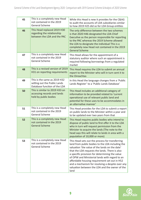| 45 | This is a completely new Head<br>not contained in the 2019<br><b>General Scheme</b>          | While this Head is new it provides for the C&AG<br>to audit the accounts of LDA subsidiaries similar<br>to how 2019 H25 did so for LDA Group entities                                                                                                                                                                                                                                                                                                                      |
|----|----------------------------------------------------------------------------------------------|----------------------------------------------------------------------------------------------------------------------------------------------------------------------------------------------------------------------------------------------------------------------------------------------------------------------------------------------------------------------------------------------------------------------------------------------------------------------------|
| 46 | This Head replaced 2019 H30<br>regarding the relationship<br>between the LDA and the PAC     | The only difference between the two schemes<br>is that 2020 H46 designated the LDA Chief<br>Executive as the person responsible for reporting<br>to the PAC whereas the 2019 Scheme allowed<br>the LDA to designate the individual This is a<br>completely new Head not contained in the 2019<br><b>General Scheme</b>                                                                                                                                                     |
| 47 | This is a completely new Head<br>not contained in the 2019<br>General Scheme                 | This Head allows for the appointment of a<br>statutory auditor where such an appointment is<br>required following borrowings from a regulated<br>market                                                                                                                                                                                                                                                                                                                    |
| 48 | This is a revised version of 2019<br>H31 on reporting requirements                           | This Head requires the LDA to submit an annual<br>report to the Minister who will in turn sent it to<br>the Oireachtas                                                                                                                                                                                                                                                                                                                                                     |
| 49 | This is the same as 2019 H32<br>setting out the Public Lands<br>Database function of the LDA | In this Head the language changes from a 'Public<br>Lands Register' to a 'Public Lands Database'                                                                                                                                                                                                                                                                                                                                                                           |
| 50 | This is similar to 2019 H33 on<br>accessing records and lands<br>held by public bodies       | This Head includes an additional category of<br>information to be provided related to 'current<br>operational use of relevant public land and<br>potential for these uses to be accommodates in<br>an alternative manner'                                                                                                                                                                                                                                                  |
| 51 | This is a completely new Head<br>not contained in the 2019<br><b>General Scheme</b>          | This Head provides for the LDA to submit a report<br>on public lands to the Minister within a year and<br>to be updated ever two years from that                                                                                                                                                                                                                                                                                                                           |
| 52 | This is a completely new Head<br>not contained in the 2019<br><b>General Scheme</b>          | This Head requires public bodies who intend to<br>dispose of public land to first offer it to the LDA<br>who in turn will request permission from the<br>Minister to acquire the lands (The note to the<br>head says this will relate to lands in area with a<br>population of 10,000 or more)                                                                                                                                                                             |
| 53 | This is a completely new Head<br>not contained in the 2019<br>General Scheme                 | This Head sets out the process for transferring<br>land from public bodies to the LDA including the<br>valuation 'the value of the lands on the date'<br>that the LDA requests the lands. There is also<br>a specific provision for determining the value<br>of OPW and Ministerial lands with regard to an<br>affordable housing requirement set out in H52<br>and a mechanism for resolving a despite over any<br>valuation between the LDA and the owner of the<br>land |

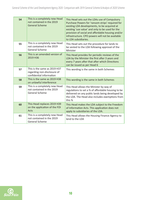| 54 | This is a completely new Head<br>not contained in the 2019<br><b>General Scheme</b>     | This Head sets out the LDAs use of Compulsory<br>Purchase Powers for 'ransom strips' required for<br>existing LDA developments, to be acquired at<br>existing 'use value' and only to be used for the<br>provision of social and affordable housing and/or<br>infrastructure. CPO powers will not be available<br>to LDA subsidiaries. |
|----|-----------------------------------------------------------------------------------------|----------------------------------------------------------------------------------------------------------------------------------------------------------------------------------------------------------------------------------------------------------------------------------------------------------------------------------------|
| 55 | This is a completely new Head<br>not contained in the 2019<br><b>General Scheme</b>     | This Head sets out the procedure for lands to<br>be vested to the LDA following approval of the<br>Minister                                                                                                                                                                                                                            |
| 56 | This is an amended version of<br>2019 H36                                               | This Head provides for periodic reviews of the<br>LDA by the Minister the first after 3 years and<br>every 7 years after that after which Directions<br>can be issued as per Head 6                                                                                                                                                    |
| 57 | This is the same as 2019 H37<br>regarding non-disclosure of<br>confidential information | This wording is the same in both Schemes                                                                                                                                                                                                                                                                                               |
| 58 | This is the same as 2019 H38<br>on unlawful interference                                | This wording is the same in both Schemes                                                                                                                                                                                                                                                                                               |
| 59 | This is a completely new Head<br>not contained in the 2019<br><b>General Scheme</b>     | This Head allows the Minister by way of<br>regulations to set a % of affordable housing to be<br>delivered on any public lands being developed by<br>the LDA. The Head also includes exemptions from<br>this %                                                                                                                         |
| 60 | This Head replaces 2019 H39<br>on the application of the FOI<br>Acts                    | This Head makes the LDA subject to the Freedom<br>of Information Acts. This application does not<br>apply to subsidiaries of the LDA.                                                                                                                                                                                                  |
| 61 | This is a completely new Head<br>not contained in the 2019<br><b>General Scheme</b>     | This Head allows the Housing Finance Agency to<br>lend to the LDA                                                                                                                                                                                                                                                                      |